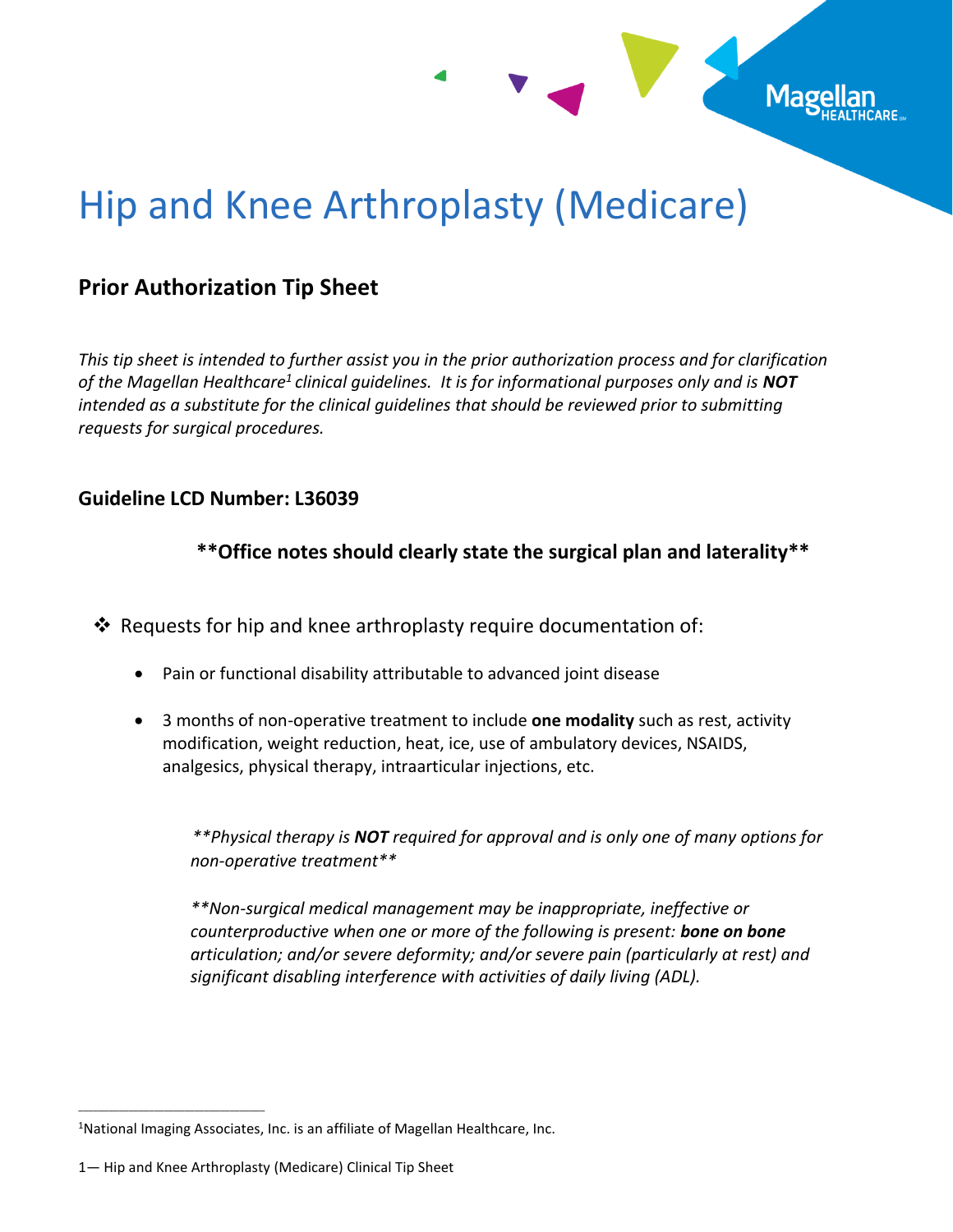

# Hip and Knee Arthroplasty (Medicare)

## **Prior Authorization Tip Sheet**

*This tip sheet is intended to further assist you in the prior authorization process and for clarification of the Magellan Healthcare<sup>1</sup> clinical guidelines. It is for informational purposes only and is NOT intended as a substitute for the clinical guidelines that should be reviewed prior to submitting requests for surgical procedures.*

#### **Guideline LCD Number: L36039**

 **\*\*Office notes should clearly state the surgical plan and laterality\*\***

❖ Requests for hip and knee arthroplasty require documentation of:

- Pain or functional disability attributable to advanced joint disease
- 3 months of non-operative treatment to include **one modality** such as rest, activity modification, weight reduction, heat, ice, use of ambulatory devices, NSAIDS, analgesics, physical therapy, intraarticular injections, etc.

 *\*\*Physical therapy is NOT required for approval and is only one of many options for non-operative treatment\*\**

*\*\*Non-surgical medical management may be inappropriate, ineffective or counterproductive when one or more of the following is present: bone on bone articulation; and/or severe deformity; and/or severe pain (particularly at rest) and significant disabling interference with activities of daily living (ADL).* 

\_\_\_\_\_\_\_\_\_\_\_\_\_\_\_\_\_\_\_\_\_\_\_\_\_\_\_\_\_\_\_\_\_\_\_\_\_

<sup>&</sup>lt;sup>1</sup>National Imaging Associates, Inc. is an affiliate of Magellan Healthcare, Inc.

<sup>1</sup>— Hip and Knee Arthroplasty (Medicare) Clinical Tip Sheet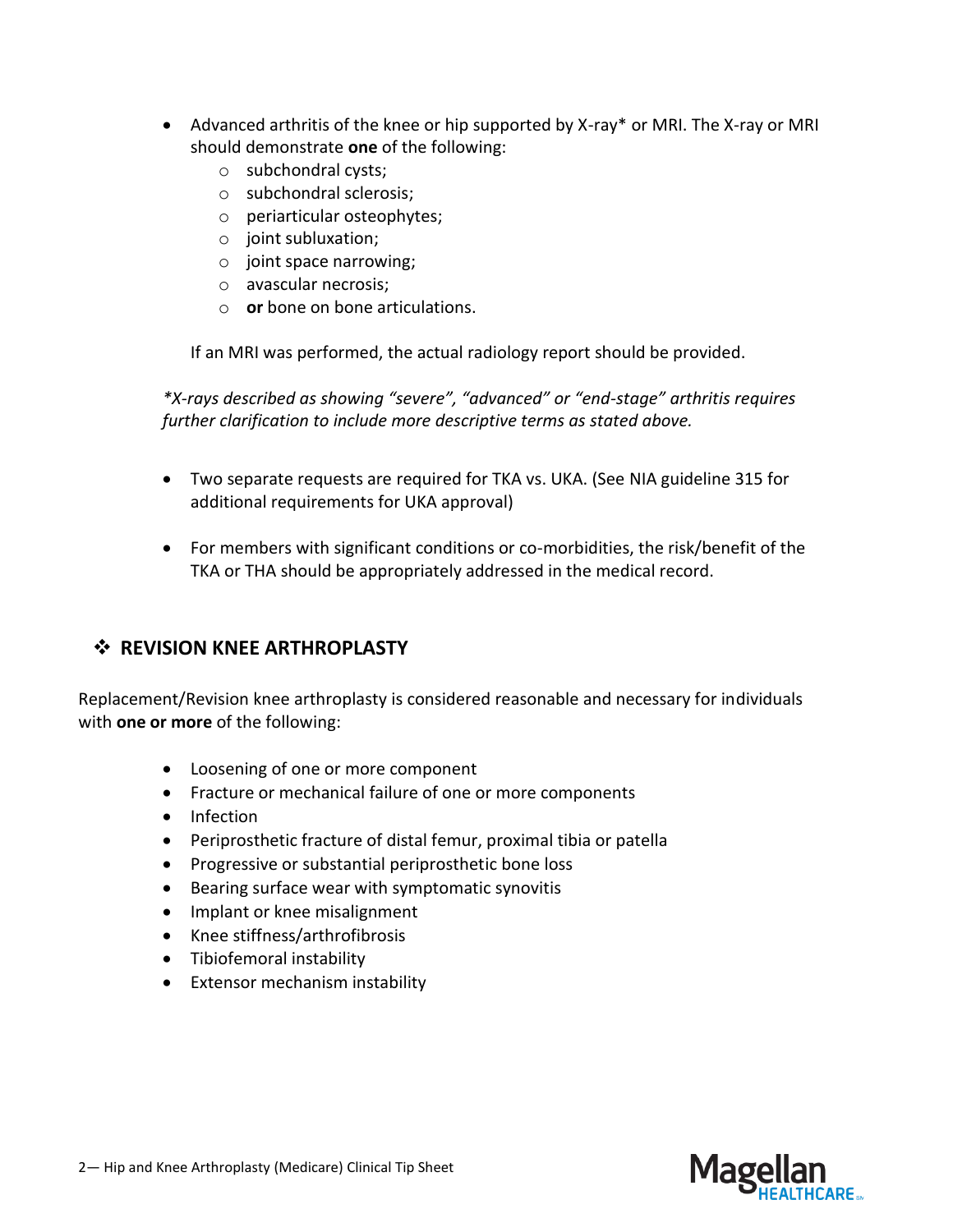- Advanced arthritis of the knee or hip supported by X-ray\* or MRI. The X-ray or MRI should demonstrate **one** of the following:
	- o subchondral cysts;
	- o subchondral sclerosis;
	- o periarticular osteophytes;
	- o joint subluxation;
	- o joint space narrowing;
	- o avascular necrosis;
	- o **or** bone on bone articulations.

If an MRI was performed, the actual radiology report should be provided.

*\*X-rays described as showing "severe", "advanced" or "end-stage" arthritis requires further clarification to include more descriptive terms as stated above.* 

- Two separate requests are required for TKA vs. UKA. (See NIA guideline 315 for additional requirements for UKA approval)
- For members with significant conditions or co-morbidities, the risk/benefit of the TKA or THA should be appropriately addressed in the medical record.

## ❖ **REVISION KNEE ARTHROPLASTY**

Replacement/Revision knee arthroplasty is considered reasonable and necessary for individuals with **one or more** of the following:

- Loosening of one or more component
- Fracture or mechanical failure of one or more components
- Infection
- Periprosthetic fracture of distal femur, proximal tibia or patella
- Progressive or substantial periprosthetic bone loss
- Bearing surface wear with symptomatic synovitis
- Implant or knee misalignment
- Knee stiffness/arthrofibrosis
- Tibiofemoral instability
- Extensor mechanism instability